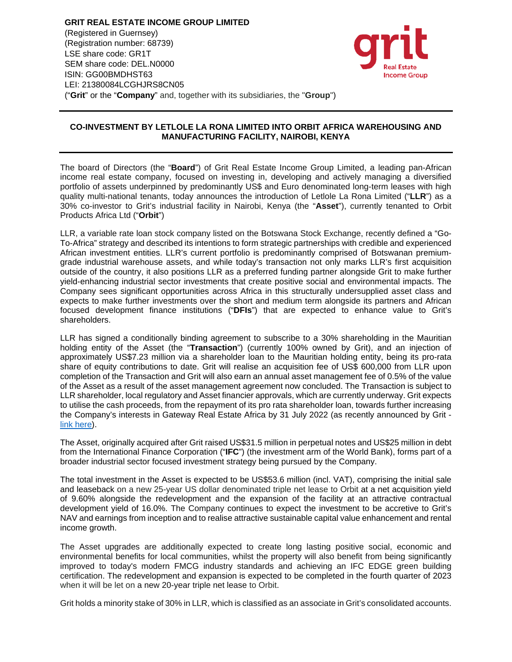**GRIT REAL ESTATE INCOME GROUP LIMITED**  (Registered in Guernsey) (Registration number: 68739) LSE share code: GR1T SEM share code: DEL.N0000 ISIN: GG00BMDHST63 LEI: 21380084LCGHJRS8CN05 ("**Grit**" or the "**Company**" and, together with its subsidiaries, the "**Group**")



## **CO-INVESTMENT BY LETLOLE LA RONA LIMITED INTO ORBIT AFRICA WAREHOUSING AND MANUFACTURING FACILITY, NAIROBI, KENYA**

The board of Directors (the "**Board**") of Grit Real Estate Income Group Limited, a leading pan-African income real estate company, focused on investing in, developing and actively managing a diversified portfolio of assets underpinned by predominantly US\$ and Euro denominated long-term leases with high quality multi-national tenants, today announces the introduction of Letlole La Rona Limited ("**LLR**") as a 30% co-investor to Grit's industrial facility in Nairobi, Kenya (the "**Asset**"), currently tenanted to Orbit Products Africa Ltd ("**Orbit**")

LLR, a variable rate loan stock company listed on the Botswana Stock Exchange, recently defined a "Go-To-Africa" strategy and described its intentions to form strategic partnerships with credible and experienced African investment entities. LLR's current portfolio is predominantly comprised of Botswanan premiumgrade industrial warehouse assets, and while today's transaction not only marks LLR's first acquisition outside of the country, it also positions LLR as a preferred funding partner alongside Grit to make further yield-enhancing industrial sector investments that create positive social and environmental impacts. The Company sees significant opportunities across Africa in this structurally undersupplied asset class and expects to make further investments over the short and medium term alongside its partners and African focused development finance institutions ("**DFIs**") that are expected to enhance value to Grit's shareholders.

LLR has signed a conditionally binding agreement to subscribe to a 30% shareholding in the Mauritian holding entity of the Asset (the "**Transaction**") (currently 100% owned by Grit), and an injection of approximately US\$7.23 million via a shareholder loan to the Mauritian holding entity, being its pro-rata share of equity contributions to date. Grit will realise an acquisition fee of US\$ 600,000 from LLR upon completion of the Transaction and Grit will also earn an annual asset management fee of 0.5% of the value of the Asset as a result of the asset management agreement now concluded. The Transaction is subject to LLR shareholder, local regulatory and Asset financier approvals, which are currently underway. Grit expects to utilise the cash proceeds, from the repayment of its pro rata shareholder loan, towards further increasing the Company's interests in Gateway Real Estate Africa by 31 July 2022 (as recently announced by Grit link here).

The Asset, originally acquired after Grit raised US\$31.5 million in perpetual notes and US\$25 million in debt from the International Finance Corporation ("**IFC**") (the investment arm of the World Bank), forms part of a broader industrial sector focused investment strategy being pursued by the Company.

The total investment in the Asset is expected to be US\$53.6 million (incl. VAT), comprising the initial sale and leaseback on a new 25-year US dollar denominated triple net lease to Orbit at a net acquisition yield of 9.60% alongside the redevelopment and the expansion of the facility at an attractive contractual development yield of 16.0%. The Company continues to expect the investment to be accretive to Grit's NAV and earnings from inception and to realise attractive sustainable capital value enhancement and rental income growth.

The Asset upgrades are additionally expected to create long lasting positive social, economic and environmental benefits for local communities, whilst the property will also benefit from being significantly improved to today's modern FMCG industry standards and achieving an IFC EDGE green building certification. The redevelopment and expansion is expected to be completed in the fourth quarter of 2023 when it will be let on a new 20-year triple net lease to Orbit.

Grit holds a minority stake of 30% in LLR, which is classified as an associate in Grit's consolidated accounts.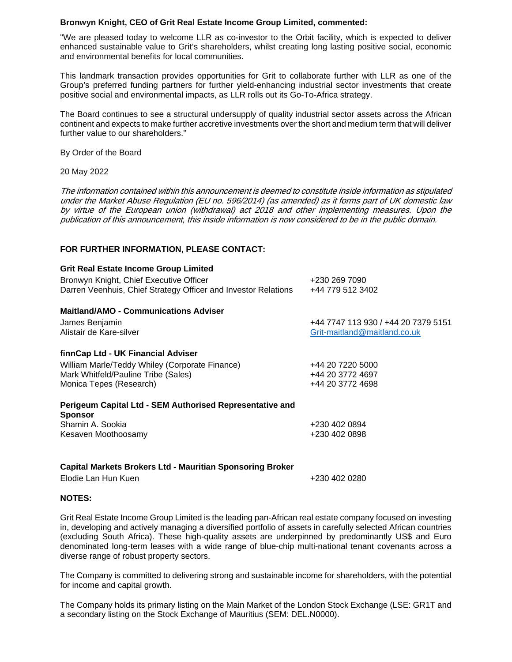#### **Bronwyn Knight, CEO of Grit Real Estate Income Group Limited, commented:**

"We are pleased today to welcome LLR as co-investor to the Orbit facility, which is expected to deliver enhanced sustainable value to Grit's shareholders, whilst creating long lasting positive social, economic and environmental benefits for local communities.

This landmark transaction provides opportunities for Grit to collaborate further with LLR as one of the Group's preferred funding partners for further yield-enhancing industrial sector investments that create positive social and environmental impacts, as LLR rolls out its Go-To-Africa strategy.

The Board continues to see a structural undersupply of quality industrial sector assets across the African continent and expects to make further accretive investments over the short and medium term that will deliver further value to our shareholders."

By Order of the Board

#### 20 May 2022

The information contained within this announcement is deemed to constitute inside information as stipulated under the Market Abuse Regulation (EU no. 596/2014) (as amended) as it forms part of UK domestic law by virtue of the European union (withdrawal) act 2018 and other implementing measures. Upon the publication of this announcement, this inside information is now considered to be in the public domain.

## **FOR FURTHER INFORMATION, PLEASE CONTACT:**

| <b>Grit Real Estate Income Group Limited</b><br>Bronwyn Knight, Chief Executive Officer<br>Darren Veenhuis, Chief Strategy Officer and Investor Relations | +230 269 7090<br>+44 779 512 3402   |
|-----------------------------------------------------------------------------------------------------------------------------------------------------------|-------------------------------------|
| <b>Maitland/AMO - Communications Adviser</b>                                                                                                              |                                     |
| James Benjamin                                                                                                                                            | +44 7747 113 930 / +44 20 7379 5151 |
| Alistair de Kare-silver                                                                                                                                   | Grit-maitland@maitland.co.uk        |
| finnCap Ltd - UK Financial Adviser                                                                                                                        |                                     |
| William Marle/Teddy Whiley (Corporate Finance)                                                                                                            | +44 20 7220 5000                    |
| Mark Whitfeld/Pauline Tribe (Sales)                                                                                                                       | +44 20 3772 4697                    |
| Monica Tepes (Research)                                                                                                                                   | +44 20 3772 4698                    |
| Perigeum Capital Ltd - SEM Authorised Representative and<br><b>Sponsor</b>                                                                                |                                     |
| Shamin A. Sookia                                                                                                                                          | +230 402 0894                       |
| Kesaven Moothoosamy                                                                                                                                       | +230 402 0898                       |
|                                                                                                                                                           |                                     |

# **Capital Markets Brokers Ltd - Mauritian Sponsoring Broker**

Elodie Lan Hun Kuen +230 402 0280

#### **NOTES:**

Grit Real Estate Income Group Limited is the leading pan-African real estate company focused on investing in, developing and actively managing a diversified portfolio of assets in carefully selected African countries (excluding South Africa). These high-quality assets are underpinned by predominantly US\$ and Euro denominated long-term leases with a wide range of blue-chip multi-national tenant covenants across a diverse range of robust property sectors.

The Company is committed to delivering strong and sustainable income for shareholders, with the potential for income and capital growth.

The Company holds its primary listing on the Main Market of the London Stock Exchange (LSE: GR1T and a secondary listing on the Stock Exchange of Mauritius (SEM: DEL.N0000).